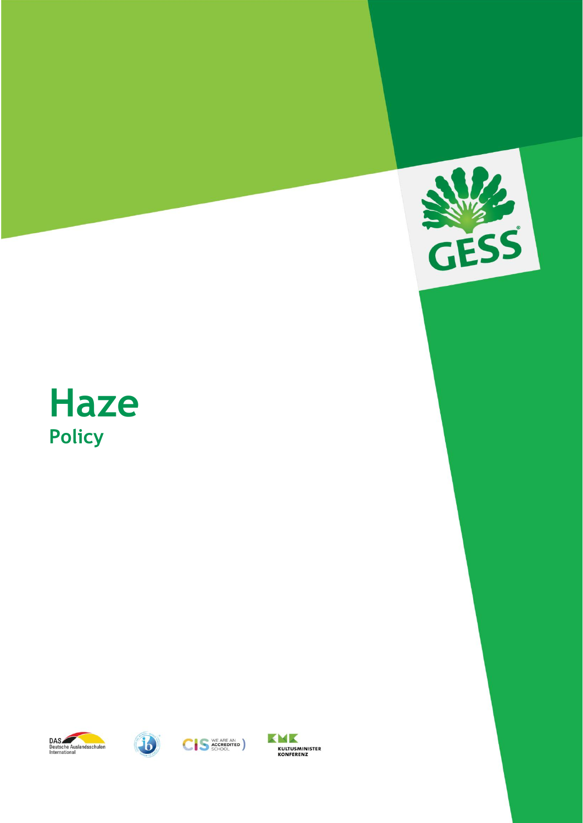

# **Haze Policy**







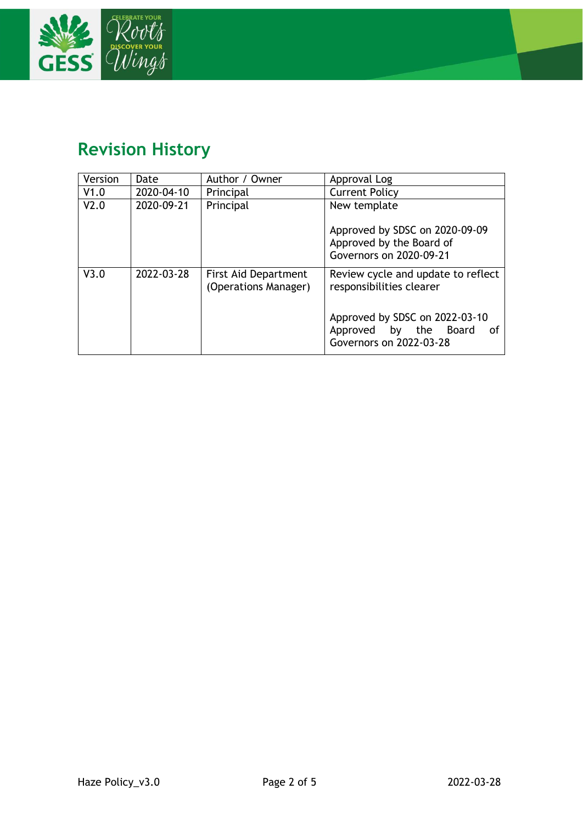

# **Revision History**

| Version | Date       | Author / Owner                                      | Approval Log                                                                             |  |
|---------|------------|-----------------------------------------------------|------------------------------------------------------------------------------------------|--|
| V1.0    | 2020-04-10 | Principal                                           | <b>Current Policy</b>                                                                    |  |
| V2.0    | 2020-09-21 | Principal                                           | New template                                                                             |  |
|         |            |                                                     | Approved by SDSC on 2020-09-09<br>Approved by the Board of<br>Governors on 2020-09-21    |  |
| V3.0    | 2022-03-28 | <b>First Aid Department</b><br>(Operations Manager) | Review cycle and update to reflect<br>responsibilities clearer                           |  |
|         |            |                                                     | Approved by SDSC on 2022-03-10<br>Approved by the Board<br>0f<br>Governors on 2022-03-28 |  |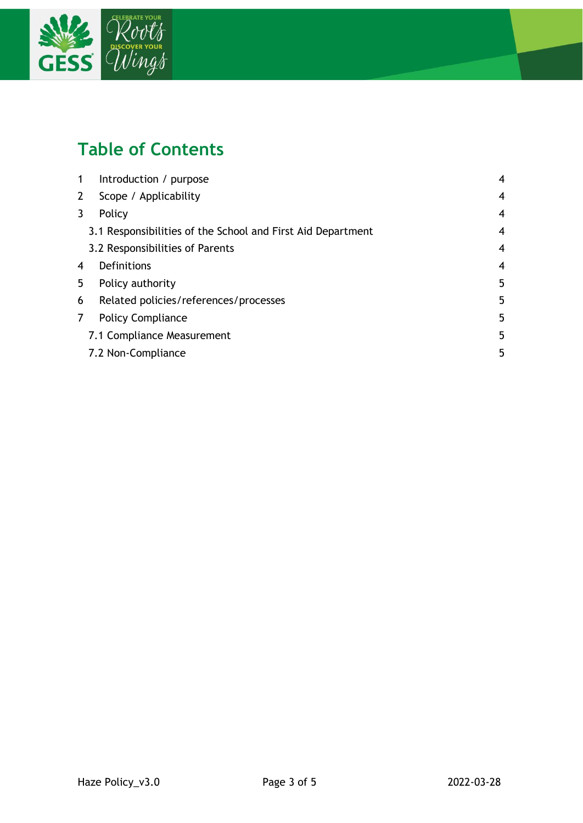

# **Table of Contents**

| -1 | Introduction / purpose                                      | 4 |
|----|-------------------------------------------------------------|---|
| 2  | Scope / Applicability                                       | 4 |
| 3  | Policy                                                      | 4 |
|    | 3.1 Responsibilities of the School and First Aid Department | 4 |
|    | 3.2 Responsibilities of Parents                             | 4 |
| 4  | Definitions                                                 | 4 |
| 5  | Policy authority                                            | 5 |
| 6  | Related policies/references/processes                       | 5 |
| 7  | <b>Policy Compliance</b>                                    | 5 |
|    | 7.1 Compliance Measurement                                  | 5 |
|    | 7.2 Non-Compliance                                          | 5 |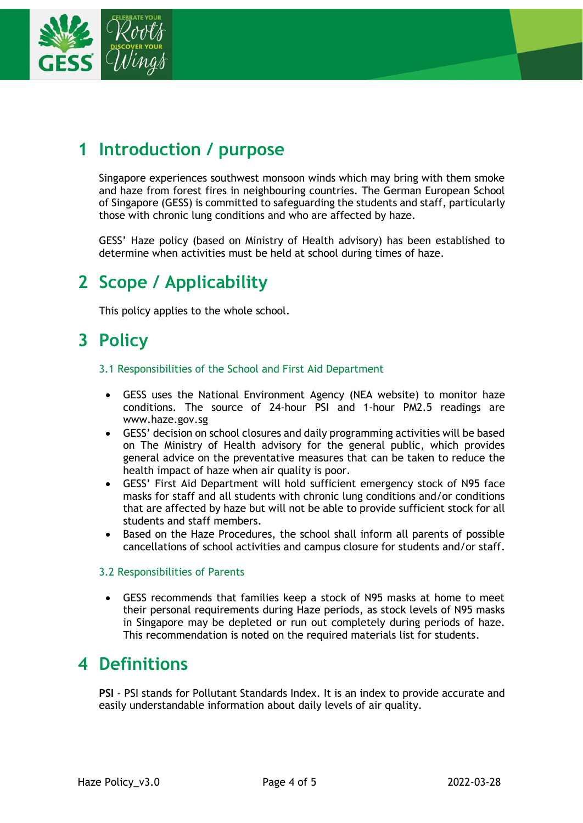

# <span id="page-3-0"></span>**1 Introduction / purpose**

Singapore experiences southwest monsoon winds which may bring with them smoke and haze from forest fires in neighbouring countries. The German European School of Singapore (GESS) is committed to safeguarding the students and staff, particularly those with chronic lung conditions and who are affected by haze.

GESS' Haze policy (based on Ministry of Health advisory) has been established to determine when activities must be held at school during times of haze.

## <span id="page-3-1"></span>**2 Scope / Applicability**

This policy applies to the whole school.

### <span id="page-3-2"></span>**3 Policy**

#### <span id="page-3-3"></span>3.1 Responsibilities of the School and First Aid Department

- GESS uses the National Environment Agency (NEA website) to monitor haze conditions. The source of 24-hour PSI and 1-hour PM2.5 readings are [www.haze.gov.sg](http://www.haze.gov.sg/)
- GESS' decision on school closures and daily programming activities will be based on The Ministry of Health advisory for the general public, which provides general advice on the preventative measures that can be taken to reduce the health impact of haze when air quality is poor.
- GESS' First Aid Department will hold sufficient emergency stock of N95 face masks for staff and all students with chronic lung conditions and/or conditions that are affected by haze but will not be able to provide sufficient stock for all students and staff members.
- Based on the Haze Procedures, the school shall inform all parents of possible cancellations of school activities and campus closure for students and/or staff.

#### <span id="page-3-4"></span>3.2 Responsibilities of Parents

• GESS recommends that families keep a stock of N95 masks at home to meet their personal requirements during Haze periods, as stock levels of N95 masks in Singapore may be depleted or run out completely during periods of haze. This recommendation is noted on the required materials list for students.

### <span id="page-3-5"></span>**4 Definitions**

**PSI** - PSI stands for Pollutant Standards Index. It is an index to provide accurate and easily understandable information about daily levels of air quality.